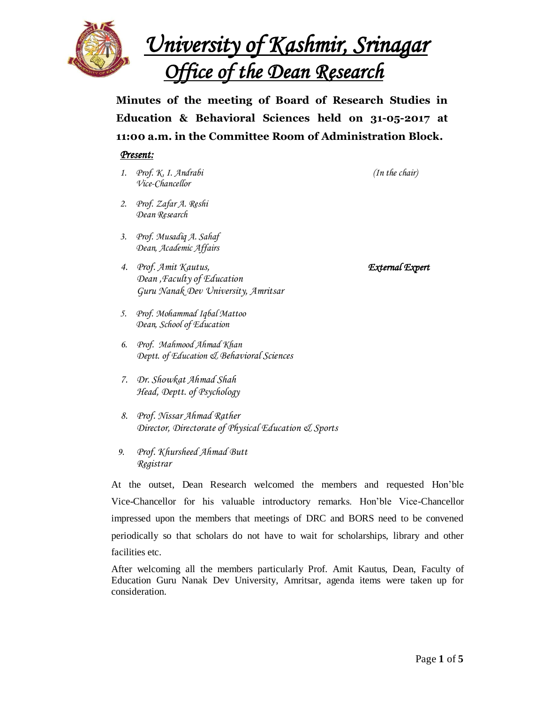

*University of Kashmir, Srinagar Office of the Dean Research* 

**Minutes of the meeting of Board of Research Studies in Education & Behavioral Sciences held on 31-05-2017 at 11:00 a.m. in the Committee Room of Administration Block.**

### *Present:*

- *1. Prof. K. I. Andrabi (In the chair) Vice-Chancellor*
- *2. Prof. Zafar A. Reshi Dean Research*
- *3. Prof. Musadiq A. Sahaf Dean, Academic Affairs*
- *4. Prof. Amit Kautus, External Expert Dean ,Faculty of Education Guru Nanak Dev University, Amritsar*
- *5. Prof. Mohammad Iqbal Mattoo Dean, School of Education*
- *6. Prof. Mahmood Ahmad Khan Deptt. of Education & Behavioral Sciences*
- *7. Dr. Showkat Ahmad Shah Head, Deptt. of Psychology*
- *8. Prof. Nissar Ahmad Rather Director, Directorate of Physical Education & Sports*
- *9. Prof. Khursheed Ahmad Butt Registrar*

At the outset, Dean Research welcomed the members and requested Hon'ble Vice-Chancellor for his valuable introductory remarks. Hon'ble Vice-Chancellor impressed upon the members that meetings of DRC and BORS need to be convened periodically so that scholars do not have to wait for scholarships, library and other facilities etc.

After welcoming all the members particularly Prof. Amit Kautus, Dean, Faculty of Education Guru Nanak Dev University, Amritsar, agenda items were taken up for consideration.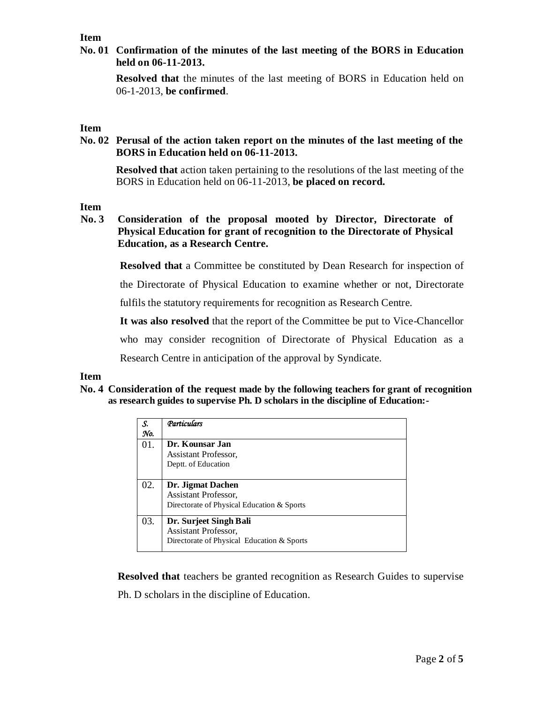### **Item**

**No. 01 Confirmation of the minutes of the last meeting of the BORS in Education held on 06-11-2013.** 

**Resolved that** the minutes of the last meeting of BORS in Education held on 06-1-2013, **be confirmed**.

### **Item**

**No. 02 Perusal of the action taken report on the minutes of the last meeting of the BORS in Education held on 06-11-2013.**

**Resolved that** action taken pertaining to the resolutions of the last meeting of the BORS in Education held on 06-11-2013, **be placed on record.**

### **Item**

**No. 3 Consideration of the proposal mooted by Director, Directorate of Physical Education for grant of recognition to the Directorate of Physical Education, as a Research Centre.**

**Resolved that** a Committee be constituted by Dean Research for inspection of

the Directorate of Physical Education to examine whether or not, Directorate

fulfils the statutory requirements for recognition as Research Centre.

**It was also resolved** that the report of the Committee be put to Vice-Chancellor

who may consider recognition of Directorate of Physical Education as a

Research Centre in anticipation of the approval by Syndicate.

### **Item**

**No. 4 Consideration of the request made by the following teachers for grant of recognition as research guides to supervise Ph. D scholars in the discipline of Education:-**

| S.<br>No. | Particulars                                                                                         |
|-----------|-----------------------------------------------------------------------------------------------------|
| 01.       | Dr. Kounsar Jan<br>Assistant Professor,<br>Deptt. of Education                                      |
| 02.       | Dr. Jigmat Dachen<br>Assistant Professor,<br>Directorate of Physical Education & Sports             |
| 03.       | Dr. Surjeet Singh Bali<br><b>Assistant Professor,</b><br>Directorate of Physical Education & Sports |

**Resolved that** teachers be granted recognition as Research Guides to supervise Ph. D scholars in the discipline of Education.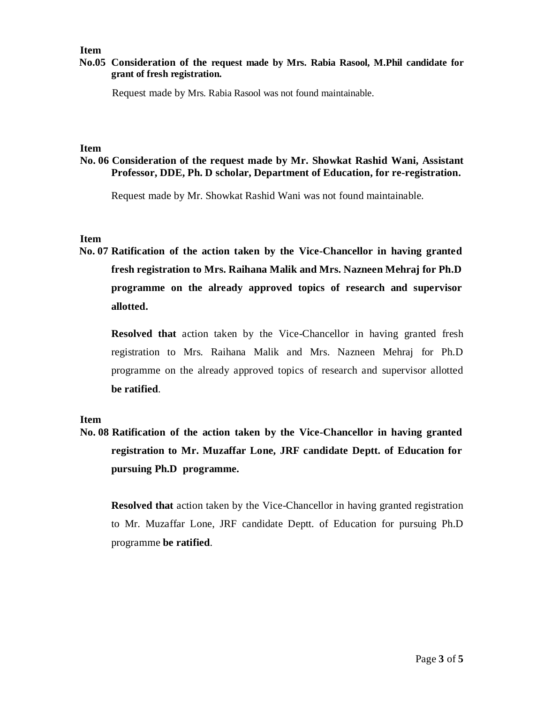### **Item**

### **No.05 Consideration of the request made by Mrs. Rabia Rasool, M.Phil candidate for grant of fresh registration.**

Request made by Mrs. Rabia Rasool was not found maintainable.

### **Item**

## **No. 06 Consideration of the request made by Mr. Showkat Rashid Wani, Assistant Professor, DDE, Ph. D scholar, Department of Education, for re-registration.**

Request made by Mr. Showkat Rashid Wani was not found maintainable.

### **Item**

**No. 07 Ratification of the action taken by the Vice-Chancellor in having granted fresh registration to Mrs. Raihana Malik and Mrs. Nazneen Mehraj for Ph.D programme on the already approved topics of research and supervisor allotted.**

**Resolved that** action taken by the Vice-Chancellor in having granted fresh registration to Mrs. Raihana Malik and Mrs. Nazneen Mehraj for Ph.D programme on the already approved topics of research and supervisor allotted **be ratified**.

### **Item**

**No. 08 Ratification of the action taken by the Vice-Chancellor in having granted registration to Mr. Muzaffar Lone, JRF candidate Deptt. of Education for pursuing Ph.D programme.**

**Resolved that** action taken by the Vice-Chancellor in having granted registration to Mr. Muzaffar Lone, JRF candidate Deptt. of Education for pursuing Ph.D programme **be ratified**.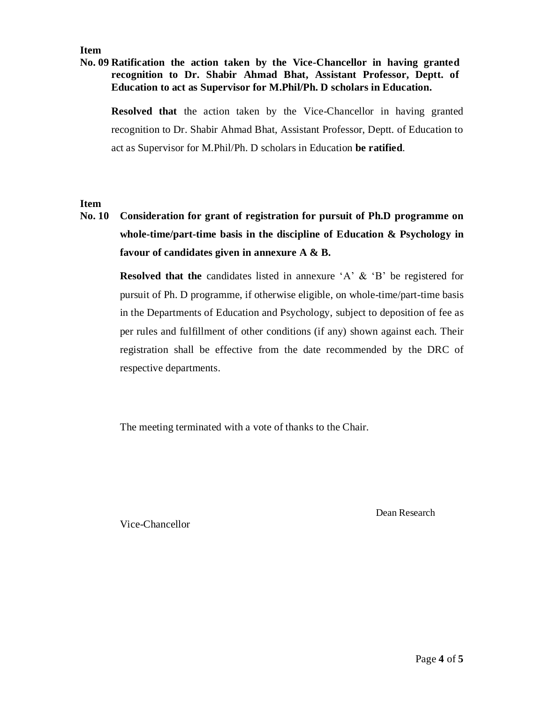### **Item**

### **No. 09 Ratification the action taken by the Vice-Chancellor in having granted recognition to Dr. Shabir Ahmad Bhat, Assistant Professor, Deptt. of Education to act as Supervisor for M.Phil/Ph. D scholars in Education.**

**Resolved that** the action taken by the Vice-Chancellor in having granted recognition to Dr. Shabir Ahmad Bhat, Assistant Professor, Deptt. of Education to act as Supervisor for M.Phil/Ph. D scholars in Education **be ratified**.

### **Item**

**No. 10 Consideration for grant of registration for pursuit of Ph.D programme on whole-time/part-time basis in the discipline of Education & Psychology in favour of candidates given in annexure A & B.**

> **Resolved that the** candidates listed in annexure 'A' & 'B' be registered for pursuit of Ph. D programme, if otherwise eligible, on whole-time/part-time basis in the Departments of Education and Psychology, subject to deposition of fee as per rules and fulfillment of other conditions (if any) shown against each. Their registration shall be effective from the date recommended by the DRC of respective departments.

The meeting terminated with a vote of thanks to the Chair.

Dean Research

Vice-Chancellor